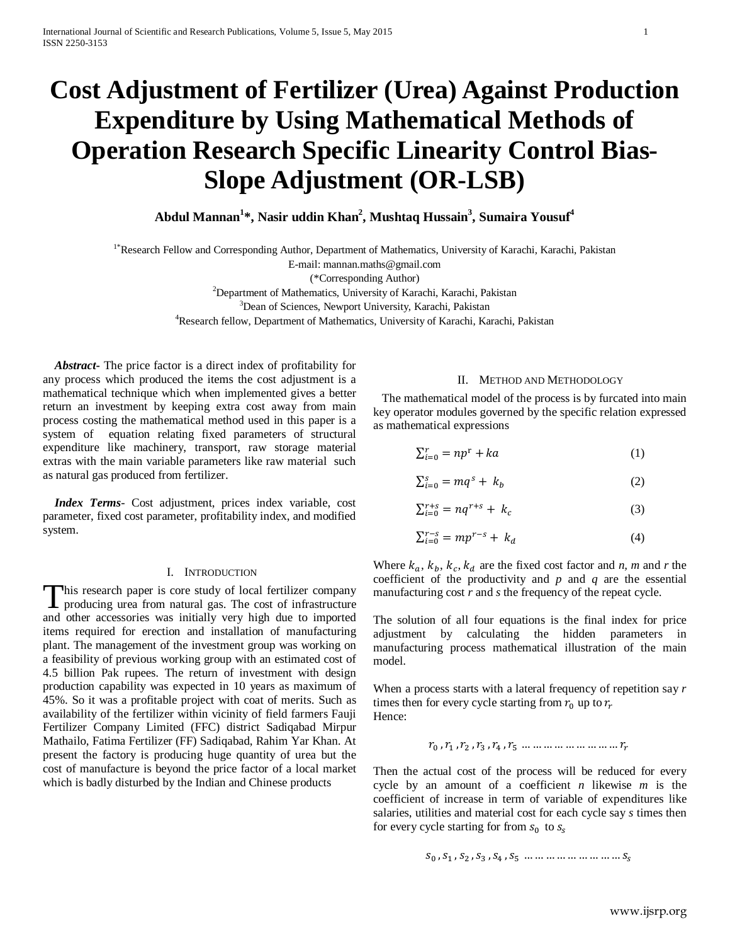# **Cost Adjustment of Fertilizer (Urea) Against Production Expenditure by Using Mathematical Methods of Operation Research Specific Linearity Control Bias-Slope Adjustment (OR-LSB)**

**Abdul Mannan1 \*, Nasir uddin Khan2 , Mushtaq Hussain3 , Sumaira Yousuf4**

<sup>1\*</sup>Research Fellow and Corresponding Author, Department of Mathematics, University of Karachi, Karachi, Pakistan

E-mail: mannan.maths@gmail.com

(\*Corresponding Author)

2 Department of Mathematics, University of Karachi, Karachi, Pakistan

<sup>3</sup>Dean of Sciences, Newport University, Karachi, Pakistan

4 Research fellow, Department of Mathematics, University of Karachi, Karachi, Pakistan

 *Abstract***-** The price factor is a direct index of profitability for any process which produced the items the cost adjustment is a mathematical technique which when implemented gives a better return an investment by keeping extra cost away from main process costing the mathematical method used in this paper is a system of equation relating fixed parameters of structural expenditure like machinery, transport, raw storage material extras with the main variable parameters like raw material such as natural gas produced from fertilizer.

 *Index Terms*- Cost adjustment, prices index variable, cost parameter, fixed cost parameter, profitability index, and modified system.

## I. INTRODUCTION

his research paper is core study of local fertilizer company This research paper is core study of local fertilizer company producing urea from natural gas. The cost of infrastructure and other accessories was initially very high due to imported items required for erection and installation of manufacturing plant. The management of the investment group was working on a feasibility of previous working group with an estimated cost of 4.5 billion Pak rupees. The return of investment with design production capability was expected in 10 years as maximum of 45%. So it was a profitable project with coat of merits. Such as availability of the fertilizer within vicinity of field farmers Fauji Fertilizer Company Limited (FFC) district Sadiqabad Mirpur Mathailo, Fatima Fertilizer (FF) Sadiqabad, Rahim Yar Khan. At present the factory is producing huge quantity of urea but the cost of manufacture is beyond the price factor of a local market which is badly disturbed by the Indian and Chinese products

## II. METHOD AND METHODOLOGY

 The mathematical model of the process is by furcated into main key operator modules governed by the specific relation expressed as mathematical expressions

$$
\sum_{i=0}^{r} = np^{\mathrm{r}} + ka \tag{1}
$$

$$
\sum_{i=0}^{s} = mq^s + k_b \tag{2}
$$

$$
\sum_{i=0}^{r+s} = nq^{r+s} + k_c \tag{3}
$$

$$
\sum_{i=0}^{r-s} = mp^{r-s} + k_d \tag{4}
$$

Where  $k_a$ ,  $k_b$ ,  $k_c$ ,  $k_d$  are the fixed cost factor and *n*, *m* and *r* the coefficient of the productivity and *p* and *q* are the essential manufacturing cost *r* and *s* the frequency of the repeat cycle.

The solution of all four equations is the final index for price adjustment by calculating the hidden parameters in manufacturing process mathematical illustration of the main model.

When a process starts with a lateral frequency of repetition say *r* times then for every cycle starting from  $r_0$  up to  $r_r$ Hence:

$$
r_0, r_1, r_2, r_3, r_4, r_5, \dots \dots \dots \dots \dots \dots \dots \dots
$$

Then the actual cost of the process will be reduced for every cycle by an amount of a coefficient *n* likewise *m* is the coefficient of increase in term of variable of expenditures like salaries, utilities and material cost for each cycle say *s* times then for every cycle starting for from  $s_0$  to  $s_s$ 

$$
S_0
$$
 ,  $S_1$  ,  $S_2$  ,  $S_3$  ,  $S_4$  ,  $S_5$   $\ldots \ldots \ldots \ldots \ldots \ldots \ldots \ldots \ldots S_s$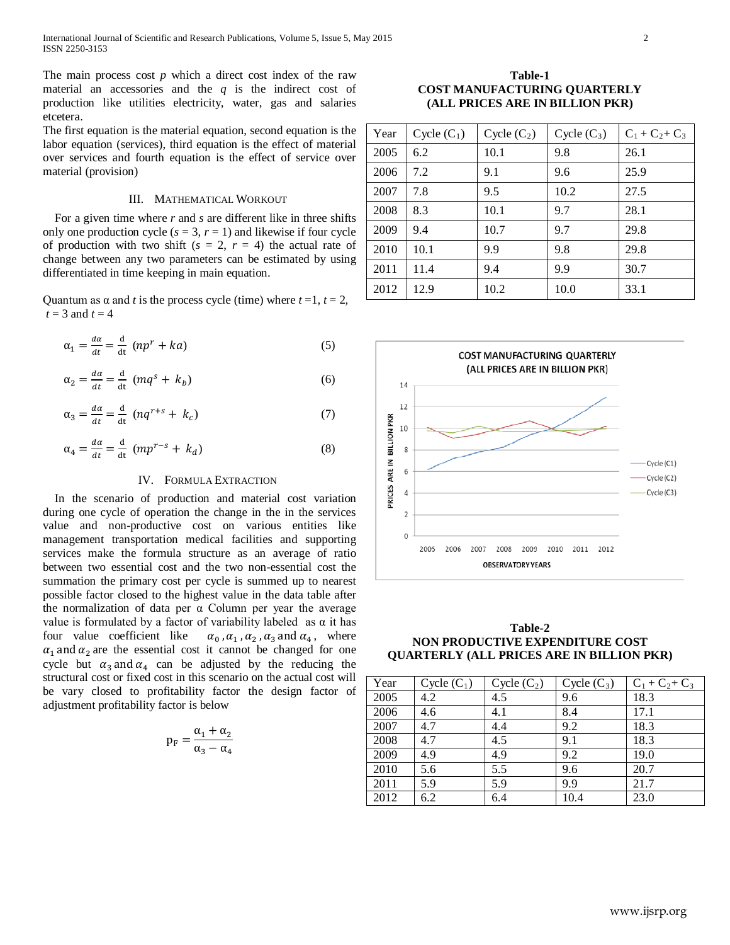The main process cost *p* which a direct cost index of the raw material an accessories and the *q* is the indirect cost of production like utilities electricity, water, gas and salaries etcetera.

The first equation is the material equation, second equation is the labor equation (services), third equation is the effect of material over services and fourth equation is the effect of service over material (provision)

## III. MATHEMATICAL WORKOUT

 For a given time where *r* and *s* are different like in three shifts only one production cycle  $(s = 3, r = 1)$  and likewise if four cycle of production with two shift  $(s = 2, r = 4)$  the actual rate of change between any two parameters can be estimated by using differentiated in time keeping in main equation.

Quantum as  $\alpha$  and *t* is the process cycle (time) where  $t = 1$ ,  $t = 2$ ,  $t = 3$  and  $t = 4$ 

$$
\alpha_1 = \frac{d\alpha}{dt} = \frac{d}{dt} \left( np^r + ka \right) \tag{5}
$$

$$
\alpha_2 = \frac{d\alpha}{dt} = \frac{d}{dt} (mq^s + k_b)
$$
 (6)

$$
\alpha_3 = \frac{d\alpha}{dt} = \frac{d}{dt} \left( nq^{r+s} + k_c \right) \tag{7}
$$

$$
\alpha_4 = \frac{d\alpha}{dt} = \frac{d}{dt} (mp^{r-s} + k_d)
$$
\n(8)

# IV. FORMULA EXTRACTION

 In the scenario of production and material cost variation during one cycle of operation the change in the in the services value and non-productive cost on various entities like management transportation medical facilities and supporting services make the formula structure as an average of ratio between two essential cost and the two non-essential cost the summation the primary cost per cycle is summed up to nearest possible factor closed to the highest value in the data table after the normalization of data per  $\alpha$  Column per year the average value is formulated by a factor of variability labeled as α it has four value coefficient like  $\alpha_0$ ,  $\alpha_1$ ,  $\alpha_2$ ,  $\alpha_3$  and  $\alpha_4$ , where  $\alpha_1$  and  $\alpha_2$  are the essential cost it cannot be changed for one cycle but  $\alpha_3$  and  $\alpha_4$  can be adjusted by the reducing the structural cost or fixed cost in this scenario on the actual cost will be vary closed to profitability factor the design factor of adjustment profitability factor is below

$$
p_F = \frac{\alpha_1 + \alpha_2}{\alpha_3 - \alpha_4}
$$

**Table-1 COST MANUFACTURING QUARTERLY (ALL PRICES ARE IN BILLION PKR)**

| Year | $Cycle(C_1)$ | $Cycle(C_2)$ | Cycle $(C_3)$ | $C_1 + C_2 + C_3$ |
|------|--------------|--------------|---------------|-------------------|
| 2005 | 6.2          | 10.1         | 9.8           | 26.1              |
| 2006 | 7.2          | 9.1          | 9.6           | 25.9              |
| 2007 | 7.8          | 9.5          | 10.2          | 27.5              |
| 2008 | 8.3          | 10.1         | 9.7           | 28.1              |
| 2009 | 9.4          | 10.7         | 9.7           | 29.8              |
| 2010 | 10.1         | 9.9          | 9.8           | 29.8              |
| 2011 | 11.4         | 9.4          | 9.9           | 30.7              |
| 2012 | 12.9         | 10.2         | 10.0          | 33.1              |



**Table-2 NON PRODUCTIVE EXPENDITURE COST QUARTERLY (ALL PRICES ARE IN BILLION PKR)**

| Year | Cycle $(C_1)$ | $Cycle(C_2)$ | Cycle $(C_3)$ | $C_1 + C_2 + C_3$ |
|------|---------------|--------------|---------------|-------------------|
| 2005 | 4.2           | 4.5          | 9.6           | 18.3              |
| 2006 | 4.6           | 4.1          | 8.4           | 17.1              |
| 2007 | 4.7           | 4.4          | 9.2           | 18.3              |
| 2008 | 4.7           | 4.5          | 9.1           | 18.3              |
| 2009 | 4.9           | 4.9          | 9.2           | 19.0              |
| 2010 | 5.6           | 5.5          | 9.6           | 20.7              |
| 2011 | 5.9           | 5.9          | 9.9           | 21.7              |
| 2012 | 6.2           | 6.4          | 10.4          | 23.0              |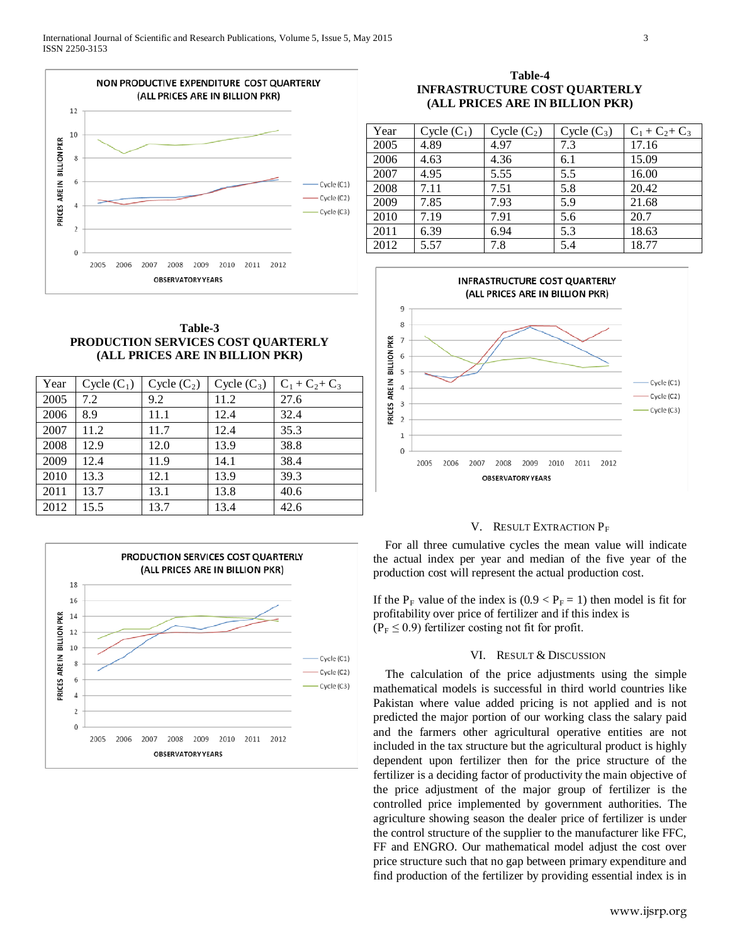

# **Table-3 PRODUCTION SERVICES COST QUARTERLY (ALL PRICES ARE IN BILLION PKR)**

| Year | Cycle $(C_1)$ | $Cycle(C_2)$ | Cycle $(C_3)$ | $C_1 + C_2 + C_3$ |
|------|---------------|--------------|---------------|-------------------|
| 2005 | 7.2           | 9.2          | 11.2          | 27.6              |
| 2006 | 8.9           | 11.1         | 12.4          | 32.4              |
| 2007 | 11.2          | 11.7         | 12.4          | 35.3              |
| 2008 | 12.9          | 12.0         | 13.9          | 38.8              |
| 2009 | 12.4          | 11.9         | 14.1          | 38.4              |
| 2010 | 13.3          | 12.1         | 13.9          | 39.3              |
| 2011 | 13.7          | 13.1         | 13.8          | 40.6              |
| 2012 | 15.5          | 13.7         | 13.4          | 42.6              |



# **Table-4 INFRASTRUCTURE COST QUARTERLY (ALL PRICES ARE IN BILLION PKR)**

| Year | $Cycle(C_1)$ | $Cycle(C_2)$ | Cycle $(C_3)$ | $C_1 + C_2 + C_3$ |
|------|--------------|--------------|---------------|-------------------|
| 2005 | 4.89         | 4.97         | 7.3           | 17.16             |
| 2006 | 4.63         | 4.36         | 6.1           | 15.09             |
| 2007 | 4.95         | 5.55         | 5.5           | 16.00             |
| 2008 | 7.11         | 7.51         | 5.8           | 20.42             |
| 2009 | 7.85         | 7.93         | 5.9           | 21.68             |
| 2010 | 7.19         | 7.91         | 5.6           | 20.7              |
| 2011 | 6.39         | 6.94         | 5.3           | 18.63             |
| 2012 | 5.57         | 7.8          | 5.4           | 18.77             |



## V. RESULT EXTRACTION PF

 For all three cumulative cycles the mean value will indicate the actual index per year and median of the five year of the production cost will represent the actual production cost.

If the P<sub>F</sub> value of the index is  $(0.9 < P_F = 1)$  then model is fit for profitability over price of fertilizer and if this index is  $(P_F \le 0.9)$  fertilizer costing not fit for profit.

# VI. RESULT & DISCUSSION

The calculation of the price adjustments using the simple mathematical models is successful in third world countries like Pakistan where value added pricing is not applied and is not predicted the major portion of our working class the salary paid and the farmers other agricultural operative entities are not included in the tax structure but the agricultural product is highly dependent upon fertilizer then for the price structure of the fertilizer is a deciding factor of productivity the main objective of the price adjustment of the major group of fertilizer is the controlled price implemented by government authorities. The agriculture showing season the dealer price of fertilizer is under the control structure of the supplier to the manufacturer like FFC, FF and ENGRO. Our mathematical model adjust the cost over price structure such that no gap between primary expenditure and find production of the fertilizer by providing essential index is in